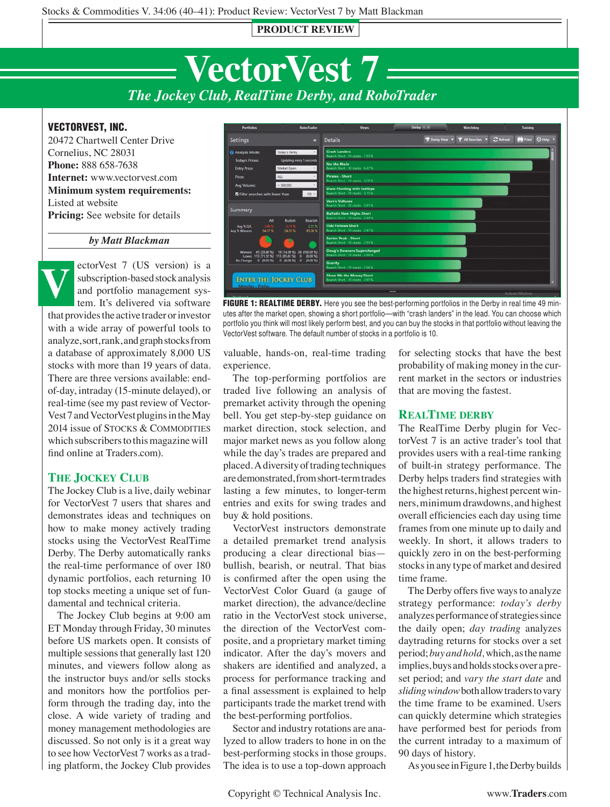**PRODUCT REVIEW**



## VECTORVEST, INC.

20472 Chartwell Center Drive Cornelius, NC 28031 **Phone:** 888 658-7638 **Internet:** www.vectorvest.com **Minimum system requirements:**  Listed at website **Pricing:** See website for details

### *by Matt Blackman*

ectorVest 7 (US version) is a subscription-based stock analysis and portfolio management system. It's delivered via software that provides the active trader or investor with a wide array of powerful tools to analyze, sort, rank, and graph stocks from a database of approximately 8,000 US stocks with more than 19 years of data. There are three versions available: endof-day, intraday (15-minute delayed), or real-time (see my past review of Vector-Vest 7 and VectorVest plugins in the May 2014 issue of STOCKS & COMMODITIES which subscribers to this magazine will find online at Traders.com). **V**

## **The Jockey Club**

The Jockey Club is a live, daily webinar for VectorVest 7 users that shares and demonstrates ideas and techniques on how to make money actively trading stocks using the VectorVest RealTime Derby. The Derby automatically ranks the real-time performance of over 180 dynamic portfolios, each returning 10 top stocks meeting a unique set of fundamental and technical criteria.

The Jockey Club begins at 9:00 am ET Monday through Friday, 30 minutes before US markets open. It consists of multiple sessions that generally last 120 minutes, and viewers follow along as the instructor buys and/or sells stocks and monitors how the portfolios perform through the trading day, into the close. A wide variety of trading and money management methodologies are discussed. So not only is it a great way to see how VectorVest 7 works as a trading platform, the Jockey Club provides



FIGURE 1: REALTIME DERBY. Here you see the best-performing portfolios in the Derby in real time 49 minutes after the market open, showing a short portfolio—with "crash landers" in the lead. You can choose which portfolio you think will most likely perform best, and you can buy the stocks in that portfolio without leaving the VectorVest software. The default number of stocks in a portfolio is 10.

valuable, hands-on, real-time trading experience.

The top-performing portfolios are traded live following an analysis of premarket activity through the opening bell. You get step-by-step guidance on market direction, stock selection, and major market news as you follow along while the day's trades are prepared and placed. A diversity of trading techniques are demonstrated, from short-term trades lasting a few minutes, to longer-term entries and exits for swing trades and buy & hold positions.

VectorVest instructors demonstrate a detailed premarket trend analysis producing a clear directional bias bullish, bearish, or neutral. That bias is confirmed after the open using the VectorVest Color Guard (a gauge of market direction), the advance/decline ratio in the VectorVest stock universe, the direction of the VectorVest composite, and a proprietary market timing indicator. After the day's movers and shakers are identified and analyzed, a process for performance tracking and a final assessment is explained to help participants trade the market trend with the best-performing portfolios.

Sector and industry rotations are analyzed to allow traders to hone in on the best-performing stocks in those groups. The idea is to use a top-down approach

for selecting stocks that have the best probability of making money in the current market in the sectors or industries that are moving the fastest.

### **RealTime derby**

The RealTime Derby plugin for VectorVest 7 is an active trader's tool that provides users with a real-time ranking of built-in strategy performance. The Derby helps traders find strategies with the highest returns, highest percent winners, minimum drawdowns, and highest overall efficiencies each day using time frames from one minute up to daily and weekly. In short, it allows traders to quickly zero in on the best-performing stocks in any type of market and desired time frame.

The Derby offers five ways to analyze strategy performance: *today's derby*  analyzes performance of strategies since the daily open; *day trading* analyzes daytrading returns for stocks over a set period; *buy and hold,* which, as the name implies, buys and holds stocks over a preset period; and *vary the start date* and *sliding window* both allow traders to vary the time frame to be examined. Users can quickly determine which strategies have performed best for periods from the current intraday to a maximum of 90 days of history.

As you see in Figure 1, the Derby builds